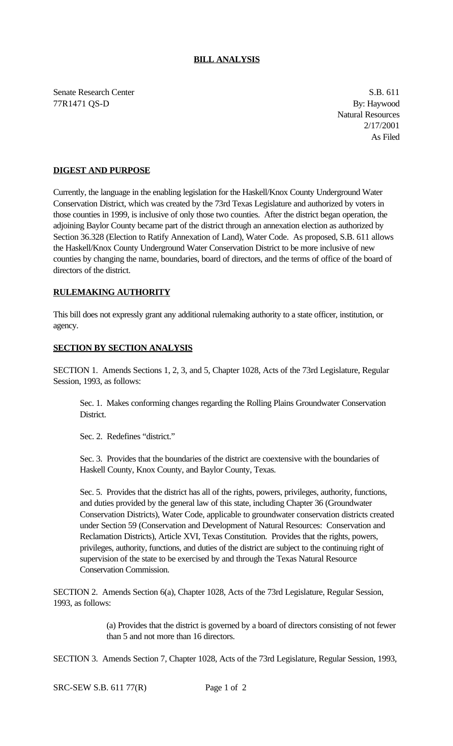## **BILL ANALYSIS**

Senate Research Center S.B. 611 77R1471 QS-D By: Haywood

Natural Resources 2/17/2001 As Filed

## **DIGEST AND PURPOSE**

Currently, the language in the enabling legislation for the Haskell/Knox County Underground Water Conservation District, which was created by the 73rd Texas Legislature and authorized by voters in those counties in 1999, is inclusive of only those two counties. After the district began operation, the adjoining Baylor County became part of the district through an annexation election as authorized by Section 36.328 (Election to Ratify Annexation of Land), Water Code. As proposed, S.B. 611 allows the Haskell/Knox County Underground Water Conservation District to be more inclusive of new counties by changing the name, boundaries, board of directors, and the terms of office of the board of directors of the district.

## **RULEMAKING AUTHORITY**

This bill does not expressly grant any additional rulemaking authority to a state officer, institution, or agency.

## **SECTION BY SECTION ANALYSIS**

SECTION 1. Amends Sections 1, 2, 3, and 5, Chapter 1028, Acts of the 73rd Legislature, Regular Session, 1993, as follows:

Sec. 1. Makes conforming changes regarding the Rolling Plains Groundwater Conservation District.

Sec. 2. Redefines "district."

Sec. 3. Provides that the boundaries of the district are coextensive with the boundaries of Haskell County, Knox County, and Baylor County, Texas.

Sec. 5. Provides that the district has all of the rights, powers, privileges, authority, functions, and duties provided by the general law of this state, including Chapter 36 (Groundwater Conservation Districts), Water Code, applicable to groundwater conservation districts created under Section 59 (Conservation and Development of Natural Resources: Conservation and Reclamation Districts), Article XVI, Texas Constitution. Provides that the rights, powers, privileges, authority, functions, and duties of the district are subject to the continuing right of supervision of the state to be exercised by and through the Texas Natural Resource Conservation Commission.

SECTION 2. Amends Section 6(a), Chapter 1028, Acts of the 73rd Legislature, Regular Session, 1993, as follows:

> (a) Provides that the district is governed by a board of directors consisting of not fewer than 5 and not more than 16 directors.

SECTION 3. Amends Section 7, Chapter 1028, Acts of the 73rd Legislature, Regular Session, 1993,

SRC-SEW S.B. 611 77(R) Page 1 of 2